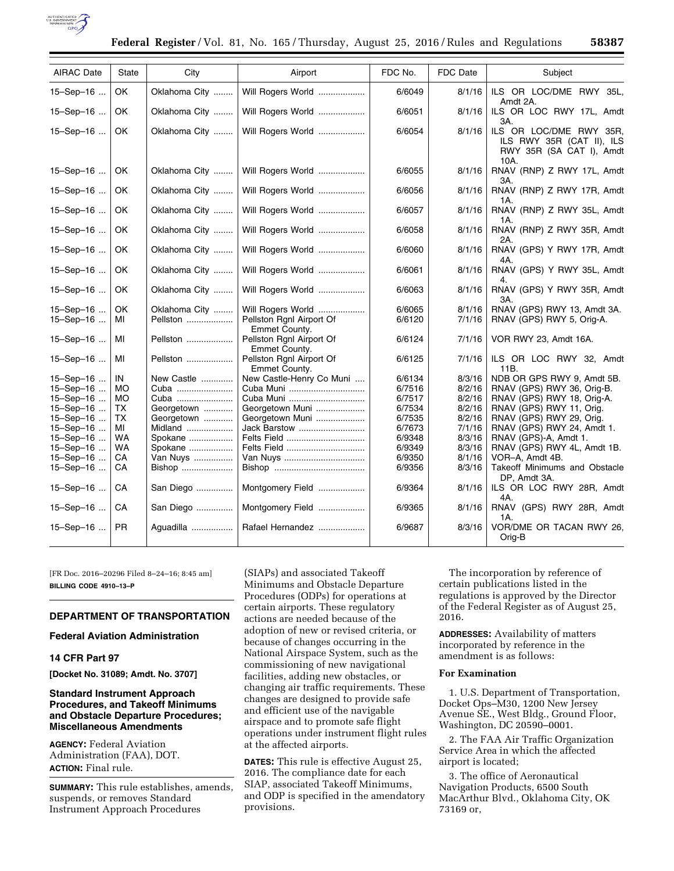

| <b>AIRAC Date</b>      | <b>State</b> | City                      | Airport                                                        | FDC No.          | FDC Date         | Subject                                                                                  |
|------------------------|--------------|---------------------------|----------------------------------------------------------------|------------------|------------------|------------------------------------------------------------------------------------------|
| 15-Sep-16              | OK.          | Oklahoma City             | Will Rogers World                                              | 6/6049           | 8/1/16           | ILS OR LOC/DME RWY 35L,<br>Amdt 2A.                                                      |
| 15-Sep-16              | OK           | Oklahoma City             | Will Rogers World                                              | 6/6051           | 8/1/16           | ILS OR LOC RWY 17L, Amdt<br>3A.                                                          |
| 15-Sep-16              | OK           | Oklahoma City             | Will Rogers World                                              | 6/6054           | 8/1/16           | ILS OR LOC/DME RWY 35R,<br>ILS RWY 35R (CAT II), ILS<br>RWY 35R (SA CAT I), Amdt<br>10A. |
| 15-Sep-16              | OK           | Oklahoma City             | Will Rogers World                                              | 6/6055           | 8/1/16           | RNAV (RNP) Z RWY 17L, Amdt<br>3A.                                                        |
| 15-Sep-16              | OK           | Oklahoma City             | Will Rogers World                                              | 6/6056           | 8/1/16           | RNAV (RNP) Z RWY 17R, Amdt<br>1A.                                                        |
| 15-Sep-16              | OK           | Oklahoma City             | Will Rogers World                                              | 6/6057           | 8/1/16           | RNAV (RNP) Z RWY 35L, Amdt<br>1A.                                                        |
| 15-Sep-16              | OK           | Oklahoma City             | Will Rogers World                                              | 6/6058           | 8/1/16           | RNAV (RNP) Z RWY 35R, Amdt<br>2A.                                                        |
| 15-Sep-16              | OK           | Oklahoma City             | Will Rogers World                                              | 6/6060           | 8/1/16           | RNAV (GPS) Y RWY 17R, Amdt<br>4A.                                                        |
| 15-Sep-16              | OK           | Oklahoma City             | Will Rogers World                                              | 6/6061           | 8/1/16           | RNAV (GPS) Y RWY 35L, Amdt                                                               |
| 15-Sep-16              | OK           | Oklahoma City             | Will Rogers World                                              | 6/6063           | 8/1/16           | RNAV (GPS) Y RWY 35R, Amdt<br>3A.                                                        |
| 15-Sep-16<br>15-Sep-16 | OK<br>МI     | Oklahoma City<br>Pellston | Will Rogers World<br>Pellston Rgnl Airport Of<br>Emmet County. | 6/6065<br>6/6120 | 8/1/16<br>7/1/16 | RNAV (GPS) RWY 13, Amdt 3A.<br>RNAV (GPS) RWY 5, Orig-A.                                 |
| 15-Sep-16              | MI           | Pellston                  | Pellston Rgnl Airport Of<br>Emmet County.                      | 6/6124           | 7/1/16           | VOR RWY 23, Amdt 16A.                                                                    |
| 15-Sep-16              | MI           | Pellston                  | Pellston Rgnl Airport Of<br>Emmet County.                      | 6/6125           | 7/1/16           | ILS OR LOC RWY 32, Amdt<br>11B.                                                          |
| 15-Sep-16              | IN           | New Castle                | New Castle-Henry Co Muni                                       | 6/6134           | 8/3/16           | NDB OR GPS RWY 9, Amdt 5B.                                                               |
| 15-Sep-16              | <b>MO</b>    | Cuba                      | Cuba Muni                                                      | 6/7516           | 8/2/16           | RNAV (GPS) RWY 36, Orig-B.                                                               |
| 15-Sep-16              | МO           | Cuba                      | Cuba Muni                                                      | 6/7517           | 8/2/16           | RNAV (GPS) RWY 18, Orig-A.                                                               |
| 15-Sep-16              | ТX           | Georgetown                | Georgetown Muni                                                | 6/7534           | 8/2/16           | RNAV (GPS) RWY 11, Orig.                                                                 |
| 15-Sep-16              | ТX           | Georgetown                | Georgetown Muni                                                | 6/7535           | 8/2/16           | RNAV (GPS) RWY 29, Orig.                                                                 |
| 15-Sep-16              | МI           | Midland                   | Jack Barstow                                                   | 6/7673           | 7/1/16           | RNAV (GPS) RWY 24, Amdt 1.                                                               |
| 15-Sep-16              | WA           | Spokane                   | Felts Field                                                    | 6/9348           | 8/3/16           | RNAV (GPS)-A, Amdt 1.                                                                    |
| 15-Sep-16              | <b>WA</b>    | Spokane                   | Felts Field                                                    | 6/9349           | 8/3/16           | RNAV (GPS) RWY 4L, Amdt 1B.                                                              |
| 15-Sep-16              | CA           | Van Nuys                  | Van Nuys                                                       | 6/9350           | 8/1/16           | VOR-A, Amdt 4B.                                                                          |
| 15-Sep-16              | СA           | Bishop                    |                                                                | 6/9356           | 8/3/16           | Takeoff Minimums and Obstacle<br>DP, Amdt 3A.                                            |
| 15-Sep-16              | CA           | San Diego                 | Montgomery Field                                               | 6/9364           | 8/1/16           | ILS OR LOC RWY 28R, Amdt<br>4A.                                                          |
| 15-Sep-16              | CA           | San Diego                 | Montgomery Field                                               | 6/9365           | 8/1/16           | RNAV (GPS) RWY 28R, Amdt<br>1A.                                                          |
| 15-Sep-16              | PR.          | Aquadilla                 | Rafael Hernandez                                               | 6/9687           | 8/3/16           | VOR/DME OR TACAN RWY 26,<br>Orig-B                                                       |

[FR Doc. 2016–20296 Filed 8–24–16; 8:45 am] **BILLING CODE 4910–13–P** 

# **DEPARTMENT OF TRANSPORTATION**

# **Federal Aviation Administration**

# **14 CFR Part 97**

**[Docket No. 31089; Amdt. No. 3707]** 

# **Standard Instrument Approach Procedures, and Takeoff Minimums and Obstacle Departure Procedures; Miscellaneous Amendments**

**AGENCY:** Federal Aviation Administration (FAA), DOT. **ACTION:** Final rule.

**SUMMARY:** This rule establishes, amends, suspends, or removes Standard Instrument Approach Procedures

(SIAPs) and associated Takeoff Minimums and Obstacle Departure Procedures (ODPs) for operations at certain airports. These regulatory actions are needed because of the adoption of new or revised criteria, or because of changes occurring in the National Airspace System, such as the commissioning of new navigational facilities, adding new obstacles, or changing air traffic requirements. These changes are designed to provide safe and efficient use of the navigable airspace and to promote safe flight operations under instrument flight rules at the affected airports.

**DATES:** This rule is effective August 25, 2016. The compliance date for each SIAP, associated Takeoff Minimums, and ODP is specified in the amendatory provisions.

The incorporation by reference of certain publications listed in the regulations is approved by the Director of the Federal Register as of August 25, 2016.

**ADDRESSES:** Availability of matters incorporated by reference in the amendment is as follows:

### **For Examination**

1. U.S. Department of Transportation, Docket Ops–M30, 1200 New Jersey Avenue SE., West Bldg., Ground Floor, Washington, DC 20590–0001.

2. The FAA Air Traffic Organization Service Area in which the affected airport is located;

3. The office of Aeronautical Navigation Products, 6500 South MacArthur Blvd., Oklahoma City, OK 73169 or,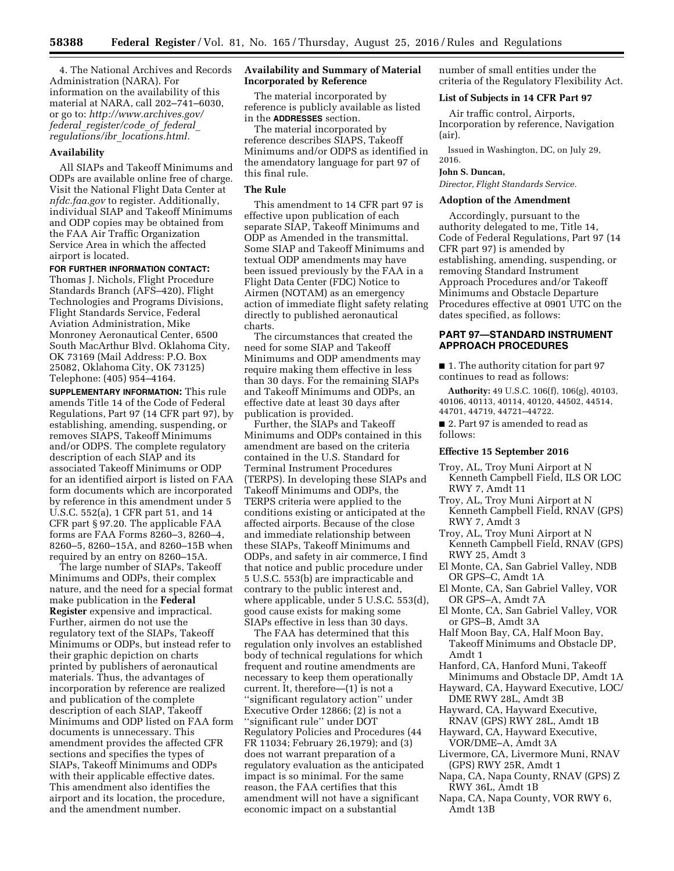4. The National Archives and Records Administration (NARA). For information on the availability of this material at NARA, call 202–741–6030, or go to: *[http://www.archives.gov/](http://www.archives.gov/federal_register/code_of_federal_regulations/ibr_locations.html) federal*\_*[register/code](http://www.archives.gov/federal_register/code_of_federal_regulations/ibr_locations.html)*\_*of*\_*federal*\_ *regulations/ibr*\_*[locations.html.](http://www.archives.gov/federal_register/code_of_federal_regulations/ibr_locations.html)* 

#### **Availability**

All SIAPs and Takeoff Minimums and ODPs are available online free of charge. Visit the National Flight Data Center at *nfdc.faa.gov* to register. Additionally, individual SIAP and Takeoff Minimums and ODP copies may be obtained from the FAA Air Traffic Organization Service Area in which the affected airport is located.

### **FOR FURTHER INFORMATION CONTACT:**

Thomas J. Nichols, Flight Procedure Standards Branch (AFS–420), Flight Technologies and Programs Divisions, Flight Standards Service, Federal Aviation Administration, Mike Monroney Aeronautical Center, 6500 South MacArthur Blvd. Oklahoma City, OK 73169 (Mail Address: P.O. Box 25082, Oklahoma City, OK 73125) Telephone: (405) 954–4164.

**SUPPLEMENTARY INFORMATION:** This rule amends Title 14 of the Code of Federal Regulations, Part 97 (14 CFR part 97), by establishing, amending, suspending, or removes SIAPS, Takeoff Minimums and/or ODPS. The complete regulatory description of each SIAP and its associated Takeoff Minimums or ODP for an identified airport is listed on FAA form documents which are incorporated by reference in this amendment under 5 U.S.C. 552(a), 1 CFR part 51, and 14 CFR part § 97.20. The applicable FAA forms are FAA Forms 8260–3, 8260–4, 8260–5, 8260–15A, and 8260–15B when required by an entry on 8260–15A.

The large number of SIAPs, Takeoff Minimums and ODPs, their complex nature, and the need for a special format make publication in the **Federal Register** expensive and impractical. Further, airmen do not use the regulatory text of the SIAPs, Takeoff Minimums or ODPs, but instead refer to their graphic depiction on charts printed by publishers of aeronautical materials. Thus, the advantages of incorporation by reference are realized and publication of the complete description of each SIAP, Takeoff Minimums and ODP listed on FAA form documents is unnecessary. This amendment provides the affected CFR sections and specifies the types of SIAPs, Takeoff Minimums and ODPs with their applicable effective dates. This amendment also identifies the airport and its location, the procedure, and the amendment number.

# **Availability and Summary of Material Incorporated by Reference**

The material incorporated by reference is publicly available as listed in the **ADDRESSES** section.

The material incorporated by reference describes SIAPS, Takeoff Minimums and/or ODPS as identified in the amendatory language for part 97 of this final rule.

# **The Rule**

This amendment to 14 CFR part 97 is effective upon publication of each separate SIAP, Takeoff Minimums and ODP as Amended in the transmittal. Some SIAP and Takeoff Minimums and textual ODP amendments may have been issued previously by the FAA in a Flight Data Center (FDC) Notice to Airmen (NOTAM) as an emergency action of immediate flight safety relating directly to published aeronautical charts.

The circumstances that created the need for some SIAP and Takeoff Minimums and ODP amendments may require making them effective in less than 30 days. For the remaining SIAPs and Takeoff Minimums and ODPs, an effective date at least 30 days after publication is provided.

Further, the SIAPs and Takeoff Minimums and ODPs contained in this amendment are based on the criteria contained in the U.S. Standard for Terminal Instrument Procedures (TERPS). In developing these SIAPs and Takeoff Minimums and ODPs, the TERPS criteria were applied to the conditions existing or anticipated at the affected airports. Because of the close and immediate relationship between these SIAPs, Takeoff Minimums and ODPs, and safety in air commerce, I find that notice and public procedure under 5 U.S.C. 553(b) are impracticable and contrary to the public interest and, where applicable, under 5 U.S.C. 553(d), good cause exists for making some SIAPs effective in less than 30 days.

The FAA has determined that this regulation only involves an established body of technical regulations for which frequent and routine amendments are necessary to keep them operationally current. It, therefore—(1) is not a ''significant regulatory action'' under Executive Order 12866; (2) is not a ''significant rule'' under DOT Regulatory Policies and Procedures (44 FR 11034; February 26,1979); and (3) does not warrant preparation of a regulatory evaluation as the anticipated impact is so minimal. For the same reason, the FAA certifies that this amendment will not have a significant economic impact on a substantial

number of small entities under the criteria of the Regulatory Flexibility Act.

### **List of Subjects in 14 CFR Part 97**

Air traffic control, Airports, Incorporation by reference, Navigation (air).

Issued in Washington, DC, on July 29, 2016.

#### **John S. Duncan,**

*Director, Flight Standards Service.* 

### **Adoption of the Amendment**

Accordingly, pursuant to the authority delegated to me, Title 14, Code of Federal Regulations, Part 97 (14 CFR part 97) is amended by establishing, amending, suspending, or removing Standard Instrument Approach Procedures and/or Takeoff Minimums and Obstacle Departure Procedures effective at 0901 UTC on the dates specified, as follows:

# **PART 97—STANDARD INSTRUMENT APPROACH PROCEDURES**

■ 1. The authority citation for part 97 continues to read as follows:

**Authority:** 49 U.S.C. 106(f), 106(g), 40103, 40106, 40113, 40114, 40120, 44502, 44514, 44701, 44719, 44721–44722.

■ 2. Part 97 is amended to read as follows:

# **Effective 15 September 2016**

- Troy, AL, Troy Muni Airport at N Kenneth Campbell Field, ILS OR LOC RWY 7, Amdt 11
- Troy, AL, Troy Muni Airport at N Kenneth Campbell Field, RNAV (GPS) RWY 7, Amdt 3
- Troy, AL, Troy Muni Airport at N Kenneth Campbell Field, RNAV (GPS) RWY 25, Amdt 3
- El Monte, CA, San Gabriel Valley, NDB OR GPS–C, Amdt 1A
- El Monte, CA, San Gabriel Valley, VOR OR GPS–A, Amdt 7A
- El Monte, CA, San Gabriel Valley, VOR or GPS–B, Amdt 3A
- Half Moon Bay, CA, Half Moon Bay, Takeoff Minimums and Obstacle DP, Amdt 1
- Hanford, CA, Hanford Muni, Takeoff Minimums and Obstacle DP, Amdt 1A Hayward, CA, Hayward Executive, LOC/
- DME RWY 28L, Amdt 3B
- Hayward, CA, Hayward Executive, RNAV (GPS) RWY 28L, Amdt 1B
- Hayward, CA, Hayward Executive, VOR/DME–A, Amdt 3A
- Livermore, CA, Livermore Muni, RNAV (GPS) RWY 25R, Amdt 1
- Napa, CA, Napa County, RNAV (GPS) Z RWY 36L, Amdt 1B
- Napa, CA, Napa County, VOR RWY 6, Amdt 13B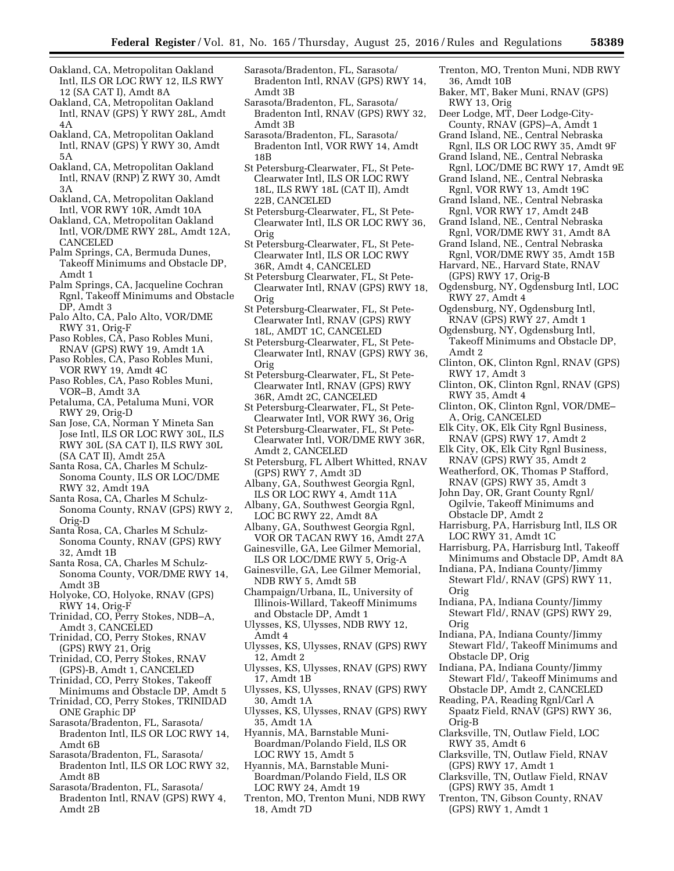- Oakland, CA, Metropolitan Oakland Intl, ILS OR LOC RWY 12, ILS RWY 12 (SA CAT I), Amdt 8A
- Oakland, CA, Metropolitan Oakland Intl, RNAV (GPS) Y RWY 28L, Amdt 4A
- Oakland, CA, Metropolitan Oakland Intl, RNAV (GPS) Y RWY 30, Amdt 5A
- Oakland, CA, Metropolitan Oakland Intl, RNAV (RNP) Z RWY 30, Amdt 3A
- Oakland, CA, Metropolitan Oakland Intl, VOR RWY 10R, Amdt 10A
- Oakland, CA, Metropolitan Oakland Intl, VOR/DME RWY 28L, Amdt 12A, CANCELED
- Palm Springs, CA, Bermuda Dunes, Takeoff Minimums and Obstacle DP, Amdt 1
- Palm Springs, CA, Jacqueline Cochran Rgnl, Takeoff Minimums and Obstacle DP, Amdt 3
- Palo Alto, CA, Palo Alto, VOR/DME RWY 31, Orig-F
- Paso Robles, CA, Paso Robles Muni, RNAV (GPS) RWY 19, Amdt 1A
- Paso Robles, CA, Paso Robles Muni, VOR RWY 19, Amdt 4C
- Paso Robles, CA, Paso Robles Muni, VOR–B, Amdt 3A
- Petaluma, CA, Petaluma Muni, VOR RWY 29, Orig-D
- San Jose, CA, Norman Y Mineta San Jose Intl, ILS OR LOC RWY 30L, ILS RWY 30L (SA CAT I), ILS RWY 30L (SA CAT II), Amdt 25A
- Santa Rosa, CA, Charles M Schulz-Sonoma County, ILS OR LOC/DME RWY 32, Amdt 19A
- Santa Rosa, CA, Charles M Schulz-Sonoma County, RNAV (GPS) RWY 2, Orig-D
- Santa Rosa, CA, Charles M Schulz-Sonoma County, RNAV (GPS) RWY 32, Amdt 1B
- Santa Rosa, CA, Charles M Schulz-Sonoma County, VOR/DME RWY 14, Amdt 3B
- Holyoke, CO, Holyoke, RNAV (GPS) RWY 14, Orig-F
- Trinidad, CO, Perry Stokes, NDB–A, Amdt 3, CANCELED
- Trinidad, CO, Perry Stokes, RNAV (GPS) RWY 21, Orig
- Trinidad, CO, Perry Stokes, RNAV (GPS)-B, Amdt 1, CANCELED
- Trinidad, CO, Perry Stokes, Takeoff Minimums and Obstacle DP, Amdt 5
- Trinidad, CO, Perry Stokes, TRINIDAD ONE Graphic DP
- Sarasota/Bradenton, FL, Sarasota/ Bradenton Intl, ILS OR LOC RWY 14, Amdt 6B
- Sarasota/Bradenton, FL, Sarasota/ Bradenton Intl, ILS OR LOC RWY 32, Amdt 8B
- Sarasota/Bradenton, FL, Sarasota/ Bradenton Intl, RNAV (GPS) RWY 4, Amdt 2B
- Sarasota/Bradenton, FL, Sarasota/ Bradenton Intl, RNAV (GPS) RWY 14, Amdt 3B
- Sarasota/Bradenton, FL, Sarasota/ Bradenton Intl, RNAV (GPS) RWY 32, Amdt 3B
- Sarasota/Bradenton, FL, Sarasota/ Bradenton Intl, VOR RWY 14, Amdt 18B
- St Petersburg-Clearwater, FL, St Pete-Clearwater Intl, ILS OR LOC RWY 18L, ILS RWY 18L (CAT II), Amdt 22B, CANCELED
- St Petersburg-Clearwater, FL, St Pete-Clearwater Intl, ILS OR LOC RWY 36, Orig
- St Petersburg-Clearwater, FL, St Pete-Clearwater Intl, ILS OR LOC RWY 36R, Amdt 4, CANCELED
- St Petersburg Clearwater, FL, St Pete-Clearwater Intl, RNAV (GPS) RWY 18, Orig
- St Petersburg-Clearwater, FL, St Pete-Clearwater Intl, RNAV (GPS) RWY 18L, AMDT 1C, CANCELED
- St Petersburg-Clearwater, FL, St Pete-Clearwater Intl, RNAV (GPS) RWY 36, Orig
- St Petersburg-Clearwater, FL, St Pete-Clearwater Intl, RNAV (GPS) RWY 36R, Amdt 2C, CANCELED
- St Petersburg-Clearwater, FL, St Pete-Clearwater Intl, VOR RWY 36, Orig
- St Petersburg-Clearwater, FL, St Pete-Clearwater Intl, VOR/DME RWY 36R, Amdt 2, CANCELED
- St Petersburg, FL Albert Whitted, RNAV (GPS) RWY 7, Amdt 3D
- Albany, GA, Southwest Georgia Rgnl, ILS OR LOC RWY 4, Amdt 11A
- Albany, GA, Southwest Georgia Rgnl, LOC BC RWY 22, Amdt 8A
- Albany, GA, Southwest Georgia Rgnl, VOR OR TACAN RWY 16, Amdt 27A
- Gainesville, GA, Lee Gilmer Memorial, ILS OR LOC/DME RWY 5, Orig-A
- Gainesville, GA, Lee Gilmer Memorial, NDB RWY 5, Amdt 5B
- Champaign/Urbana, IL, University of Illinois-Willard, Takeoff Minimums and Obstacle DP, Amdt 1
- Ulysses, KS, Ulysses, NDB RWY 12, Amdt 4
- Ulysses, KS, Ulysses, RNAV (GPS) RWY 12, Amdt 2
- Ulysses, KS, Ulysses, RNAV (GPS) RWY 17, Amdt 1B
- Ulysses, KS, Ulysses, RNAV (GPS) RWY 30, Amdt 1A
- Ulysses, KS, Ulysses, RNAV (GPS) RWY 35, Amdt 1A
- Hyannis, MA, Barnstable Muni-Boardman/Polando Field, ILS OR LOC RWY 15, Amdt 5
- Hyannis, MA, Barnstable Muni-Boardman/Polando Field, ILS OR LOC RWY 24, Amdt 19
- Trenton, MO, Trenton Muni, NDB RWY 18, Amdt 7D
- Trenton, MO, Trenton Muni, NDB RWY 36, Amdt 10B
- Baker, MT, Baker Muni, RNAV (GPS) RWY 13, Orig
- Deer Lodge, MT, Deer Lodge-City-County, RNAV (GPS)–A, Amdt 1
- Grand Island, NE., Central Nebraska Rgnl, ILS OR LOC RWY 35, Amdt 9F
- Grand Island, NE., Central Nebraska Rgnl, LOC/DME BC RWY 17, Amdt 9E
- Grand Island, NE., Central Nebraska Rgnl, VOR RWY 13, Amdt 19C
- Grand Island, NE., Central Nebraska Rgnl, VOR RWY 17, Amdt 24B
- Grand Island, NE., Central Nebraska Rgnl, VOR/DME RWY 31, Amdt 8A
- Grand Island, NE., Central Nebraska Rgnl, VOR/DME RWY 35, Amdt 15B
- Harvard, NE., Harvard State, RNAV (GPS) RWY 17, Orig-B
- Ogdensburg, NY, Ogdensburg Intl, LOC RWY 27, Amdt 4
- Ogdensburg, NY, Ogdensburg Intl, RNAV (GPS) RWY 27, Amdt 1
- Ogdensburg, NY, Ogdensburg Intl, Takeoff Minimums and Obstacle DP, Amdt 2
- Clinton, OK, Clinton Rgnl, RNAV (GPS) RWY 17, Amdt 3
- Clinton, OK, Clinton Rgnl, RNAV (GPS) RWY 35, Amdt 4
- Clinton, OK, Clinton Rgnl, VOR/DME– A, Orig, CANCELED
- Elk City, OK, Elk City Rgnl Business, RNAV (GPS) RWY 17, Amdt 2
- Elk City, OK, Elk City Rgnl Business, RNAV (GPS) RWY 35, Amdt 2
- Weatherford, OK, Thomas P Stafford, RNAV (GPS) RWY 35, Amdt 3
- John Day, OR, Grant County Rgnl/ Ogilvie, Takeoff Minimums and Obstacle DP, Amdt 2
- Harrisburg, PA, Harrisburg Intl, ILS OR LOC RWY 31, Amdt 1C
- Harrisburg, PA, Harrisburg Intl, Takeoff Minimums and Obstacle DP, Amdt 8A
- Indiana, PA, Indiana County/Jimmy Stewart Fld/, RNAV (GPS) RWY 11, Orig
- Indiana, PA, Indiana County/Jimmy Stewart Fld/, RNAV (GPS) RWY 29, Orig
- Indiana, PA, Indiana County/Jimmy Stewart Fld/, Takeoff Minimums and
- Obstacle DP, Orig Indiana, PA, Indiana County/Jimmy
- Stewart Fld/, Takeoff Minimums and Obstacle DP, Amdt 2, CANCELED
- Reading, PA, Reading Rgnl/Carl A Spaatz Field, RNAV (GPS) RWY 36, Orig-B
- Clarksville, TN, Outlaw Field, LOC RWY 35, Amdt 6
- Clarksville, TN, Outlaw Field, RNAV (GPS) RWY 17, Amdt 1
- Clarksville, TN, Outlaw Field, RNAV (GPS) RWY 35, Amdt 1
- Trenton, TN, Gibson County, RNAV (GPS) RWY 1, Amdt 1